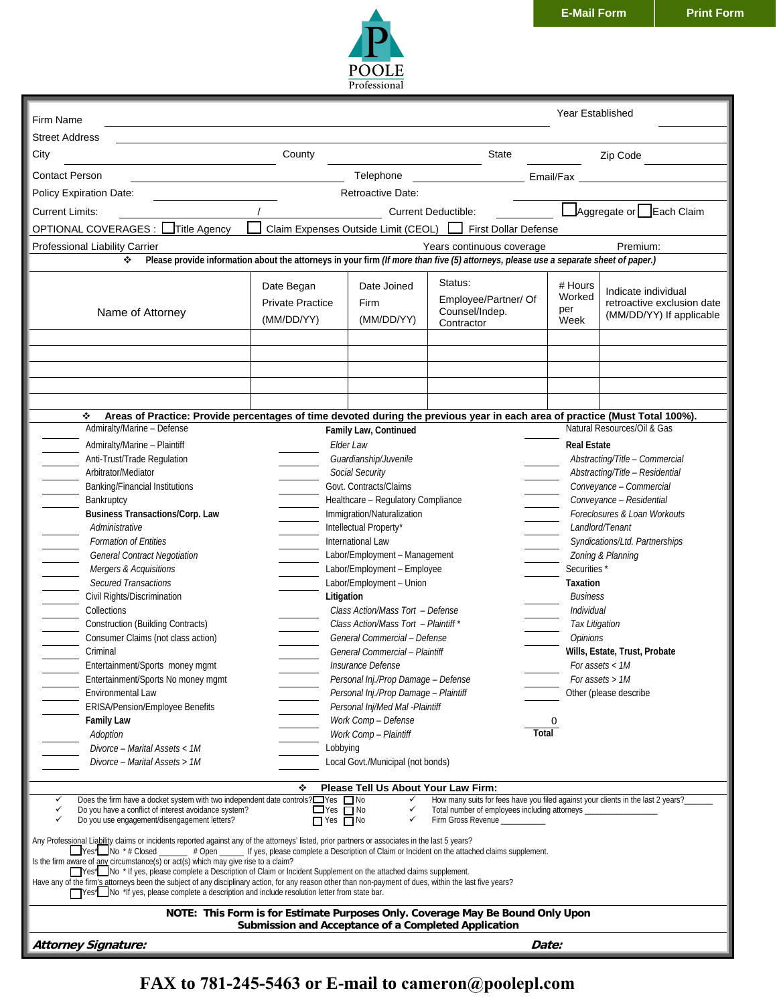

|                                                                                                                                                                                                                                                                                                                                                                                                                                                                                                                                                                                                                                                                                                                                                                                                                                                                                            |                                                     |                                                                                                                                                                                                                                                                                                                                                                                                                                                                                                                                                                                                             |                                                                 | <b>Year Established</b>                                                                                                                                                                                                                                                                                                                                                                                                                                    |                                                                               |  |  |  |  |
|--------------------------------------------------------------------------------------------------------------------------------------------------------------------------------------------------------------------------------------------------------------------------------------------------------------------------------------------------------------------------------------------------------------------------------------------------------------------------------------------------------------------------------------------------------------------------------------------------------------------------------------------------------------------------------------------------------------------------------------------------------------------------------------------------------------------------------------------------------------------------------------------|-----------------------------------------------------|-------------------------------------------------------------------------------------------------------------------------------------------------------------------------------------------------------------------------------------------------------------------------------------------------------------------------------------------------------------------------------------------------------------------------------------------------------------------------------------------------------------------------------------------------------------------------------------------------------------|-----------------------------------------------------------------|------------------------------------------------------------------------------------------------------------------------------------------------------------------------------------------------------------------------------------------------------------------------------------------------------------------------------------------------------------------------------------------------------------------------------------------------------------|-------------------------------------------------------------------------------|--|--|--|--|
| Firm Name                                                                                                                                                                                                                                                                                                                                                                                                                                                                                                                                                                                                                                                                                                                                                                                                                                                                                  |                                                     |                                                                                                                                                                                                                                                                                                                                                                                                                                                                                                                                                                                                             |                                                                 |                                                                                                                                                                                                                                                                                                                                                                                                                                                            |                                                                               |  |  |  |  |
| <b>Street Address</b>                                                                                                                                                                                                                                                                                                                                                                                                                                                                                                                                                                                                                                                                                                                                                                                                                                                                      |                                                     |                                                                                                                                                                                                                                                                                                                                                                                                                                                                                                                                                                                                             |                                                                 |                                                                                                                                                                                                                                                                                                                                                                                                                                                            |                                                                               |  |  |  |  |
| City                                                                                                                                                                                                                                                                                                                                                                                                                                                                                                                                                                                                                                                                                                                                                                                                                                                                                       | County                                              |                                                                                                                                                                                                                                                                                                                                                                                                                                                                                                                                                                                                             | State                                                           |                                                                                                                                                                                                                                                                                                                                                                                                                                                            | Zip Code                                                                      |  |  |  |  |
| <b>Contact Person</b>                                                                                                                                                                                                                                                                                                                                                                                                                                                                                                                                                                                                                                                                                                                                                                                                                                                                      | Telephone<br>Email/Fax                              |                                                                                                                                                                                                                                                                                                                                                                                                                                                                                                                                                                                                             |                                                                 |                                                                                                                                                                                                                                                                                                                                                                                                                                                            |                                                                               |  |  |  |  |
| Policy Expiration Date:                                                                                                                                                                                                                                                                                                                                                                                                                                                                                                                                                                                                                                                                                                                                                                                                                                                                    | Retroactive Date:                                   |                                                                                                                                                                                                                                                                                                                                                                                                                                                                                                                                                                                                             |                                                                 |                                                                                                                                                                                                                                                                                                                                                                                                                                                            |                                                                               |  |  |  |  |
| Aggregate or Each Claim<br><b>Current Limits:</b><br><b>Current Deductible:</b>                                                                                                                                                                                                                                                                                                                                                                                                                                                                                                                                                                                                                                                                                                                                                                                                            |                                                     |                                                                                                                                                                                                                                                                                                                                                                                                                                                                                                                                                                                                             |                                                                 |                                                                                                                                                                                                                                                                                                                                                                                                                                                            |                                                                               |  |  |  |  |
| OPTIONAL COVERAGES : Title Agency<br>Claim Expenses Outside Limit (CEOL) First Dollar Defense                                                                                                                                                                                                                                                                                                                                                                                                                                                                                                                                                                                                                                                                                                                                                                                              |                                                     |                                                                                                                                                                                                                                                                                                                                                                                                                                                                                                                                                                                                             |                                                                 |                                                                                                                                                                                                                                                                                                                                                                                                                                                            |                                                                               |  |  |  |  |
| Premium:<br>Professional Liability Carrier<br>Years continuous coverage                                                                                                                                                                                                                                                                                                                                                                                                                                                                                                                                                                                                                                                                                                                                                                                                                    |                                                     |                                                                                                                                                                                                                                                                                                                                                                                                                                                                                                                                                                                                             |                                                                 |                                                                                                                                                                                                                                                                                                                                                                                                                                                            |                                                                               |  |  |  |  |
| Please provide information about the attorneys in your firm (If more than five (5) attorneys, please use a separate sheet of paper.)<br>❖                                                                                                                                                                                                                                                                                                                                                                                                                                                                                                                                                                                                                                                                                                                                                  |                                                     |                                                                                                                                                                                                                                                                                                                                                                                                                                                                                                                                                                                                             |                                                                 |                                                                                                                                                                                                                                                                                                                                                                                                                                                            |                                                                               |  |  |  |  |
| Name of Attorney                                                                                                                                                                                                                                                                                                                                                                                                                                                                                                                                                                                                                                                                                                                                                                                                                                                                           | Date Began<br><b>Private Practice</b><br>(MM/DD/YY) | Date Joined<br><b>Firm</b><br>(MM/DD/YY)                                                                                                                                                                                                                                                                                                                                                                                                                                                                                                                                                                    | Status:<br>Employee/Partner/ Of<br>Counsel/Indep.<br>Contractor | # Hours<br>Worked<br>per<br>Week                                                                                                                                                                                                                                                                                                                                                                                                                           | Indicate individual<br>retroactive exclusion date<br>(MM/DD/YY) If applicable |  |  |  |  |
|                                                                                                                                                                                                                                                                                                                                                                                                                                                                                                                                                                                                                                                                                                                                                                                                                                                                                            |                                                     |                                                                                                                                                                                                                                                                                                                                                                                                                                                                                                                                                                                                             |                                                                 |                                                                                                                                                                                                                                                                                                                                                                                                                                                            |                                                                               |  |  |  |  |
|                                                                                                                                                                                                                                                                                                                                                                                                                                                                                                                                                                                                                                                                                                                                                                                                                                                                                            |                                                     |                                                                                                                                                                                                                                                                                                                                                                                                                                                                                                                                                                                                             |                                                                 |                                                                                                                                                                                                                                                                                                                                                                                                                                                            |                                                                               |  |  |  |  |
|                                                                                                                                                                                                                                                                                                                                                                                                                                                                                                                                                                                                                                                                                                                                                                                                                                                                                            |                                                     |                                                                                                                                                                                                                                                                                                                                                                                                                                                                                                                                                                                                             |                                                                 |                                                                                                                                                                                                                                                                                                                                                                                                                                                            |                                                                               |  |  |  |  |
|                                                                                                                                                                                                                                                                                                                                                                                                                                                                                                                                                                                                                                                                                                                                                                                                                                                                                            |                                                     |                                                                                                                                                                                                                                                                                                                                                                                                                                                                                                                                                                                                             |                                                                 |                                                                                                                                                                                                                                                                                                                                                                                                                                                            |                                                                               |  |  |  |  |
| Areas of Practice: Provide percentages of time devoted during the previous year in each area of practice (Must Total 100%).<br>❖                                                                                                                                                                                                                                                                                                                                                                                                                                                                                                                                                                                                                                                                                                                                                           |                                                     |                                                                                                                                                                                                                                                                                                                                                                                                                                                                                                                                                                                                             |                                                                 |                                                                                                                                                                                                                                                                                                                                                                                                                                                            |                                                                               |  |  |  |  |
| Admiralty/Marine - Defense                                                                                                                                                                                                                                                                                                                                                                                                                                                                                                                                                                                                                                                                                                                                                                                                                                                                 |                                                     | Family Law, Continued                                                                                                                                                                                                                                                                                                                                                                                                                                                                                                                                                                                       |                                                                 |                                                                                                                                                                                                                                                                                                                                                                                                                                                            | Natural Resources/Oil & Gas                                                   |  |  |  |  |
| Admiralty/Marine - Plaintiff<br>Anti-Trust/Trade Regulation<br>Arbitrator/Mediator<br><b>Banking/Financial Institutions</b><br>Bankruptcy<br><b>Business Transactions/Corp. Law</b><br>Administrative<br><b>Formation of Entities</b><br>General Contract Negotiation<br>Mergers & Acquisitions<br><b>Secured Transactions</b><br>Civil Rights/Discrimination<br>Collections<br><b>Construction (Building Contracts)</b><br>Consumer Claims (not class action)<br>Criminal<br>Entertainment/Sports money mgmt<br>Entertainment/Sports No money mgmt<br>Environmental Law<br>ERISA/Pension/Employee Benefits<br><b>Family Law</b>                                                                                                                                                                                                                                                           | Litigation                                          | Elder Law<br>Guardianship/Juvenile<br>Social Security<br>Govt. Contracts/Claims<br>Healthcare - Regulatory Compliance<br>Immigration/Naturalization<br>Intellectual Property*<br>International Law<br>Labor/Employment - Management<br>Labor/Employment - Employee<br>Labor/Employment - Union<br>Class Action/Mass Tort - Defense<br>Class Action/Mass Tort - Plaintiff *<br>General Commercial - Defense<br>General Commercial - Plaintiff<br>Insurance Defense<br>Personal Inj./Prop Damage - Defense<br>Personal Inj./Prop Damage - Plaintiff<br>Personal Inj/Med Mal -Plaintiff<br>Work Comp - Defense |                                                                 | <b>Real Estate</b><br>Abstracting/Title - Commercial<br>Abstracting/Title - Residential<br>Conveyance - Commercial<br>Conveyance - Residential<br>Foreclosures & Loan Workouts<br>Landlord/Tenant<br>Syndications/Ltd. Partnerships<br>Zoning & Planning<br>Securities*<br>Taxation<br><b>Business</b><br><b>Individual</b><br>Tax Litigation<br>Opinions<br>Wills, Estate, Trust, Probate<br>For assets < 1M<br>For assets > 1M<br>Other (please describe |                                                                               |  |  |  |  |
| Adoption                                                                                                                                                                                                                                                                                                                                                                                                                                                                                                                                                                                                                                                                                                                                                                                                                                                                                   |                                                     | 0<br>Total<br>Work Comp - Plaintiff                                                                                                                                                                                                                                                                                                                                                                                                                                                                                                                                                                         |                                                                 |                                                                                                                                                                                                                                                                                                                                                                                                                                                            |                                                                               |  |  |  |  |
| Divorce - Marital Assets < 1M                                                                                                                                                                                                                                                                                                                                                                                                                                                                                                                                                                                                                                                                                                                                                                                                                                                              | Lobbying                                            |                                                                                                                                                                                                                                                                                                                                                                                                                                                                                                                                                                                                             |                                                                 |                                                                                                                                                                                                                                                                                                                                                                                                                                                            |                                                                               |  |  |  |  |
| Divorce – Marital Assets > 1M                                                                                                                                                                                                                                                                                                                                                                                                                                                                                                                                                                                                                                                                                                                                                                                                                                                              |                                                     | Local Govt./Municipal (not bonds)                                                                                                                                                                                                                                                                                                                                                                                                                                                                                                                                                                           |                                                                 |                                                                                                                                                                                                                                                                                                                                                                                                                                                            |                                                                               |  |  |  |  |
| Please Tell Us About Your Law Firm:<br>❖<br>How many suits for fees have you filed against your clients in the last 2 years?<br>Does the firm have a docket system with two independent date controls?□Yes □ No<br>✓<br>✓<br>$\Box$ Yes $\Box$ No<br>Do you have a conflict of interest avoidance system?<br>✓<br>✓<br>Total number of employees including attorneys _<br>Do you use engagement/disengagement letters?<br>$\Box$ Yes $\Box$ No<br>Firm Gross Revenue ___________<br>✓<br>✓<br>Any Professional Liability claims or incidents reported against any of the attorneys' listed, prior partners or associates in the last 5 years?<br>$\Box$ Yes* $\Box$ No * # Closed $\Box$ # Open $\Box$ If yes, please complete a Description of Claim or Incident on the attached claims supplement.<br>Is the firm aware of any circumstance(s) or act(s) which may give rise to a claim? |                                                     |                                                                                                                                                                                                                                                                                                                                                                                                                                                                                                                                                                                                             |                                                                 |                                                                                                                                                                                                                                                                                                                                                                                                                                                            |                                                                               |  |  |  |  |
| The * If yes, please complete a Description of Claim or Incident Supplement on the attached claims supplement.<br>Have any of the firm's attorneys been the subject of any disciplinary action, for any reason other than non-payment of dues, within the last five years?<br>Thes* No *If yes, please complete a description and include resolution letter from state bar.                                                                                                                                                                                                                                                                                                                                                                                                                                                                                                                |                                                     |                                                                                                                                                                                                                                                                                                                                                                                                                                                                                                                                                                                                             |                                                                 |                                                                                                                                                                                                                                                                                                                                                                                                                                                            |                                                                               |  |  |  |  |
| NOTE: This Form is for Estimate Purposes Only. Coverage May Be Bound Only Upon<br>Submission and Acceptance of a Completed Application                                                                                                                                                                                                                                                                                                                                                                                                                                                                                                                                                                                                                                                                                                                                                     |                                                     |                                                                                                                                                                                                                                                                                                                                                                                                                                                                                                                                                                                                             |                                                                 |                                                                                                                                                                                                                                                                                                                                                                                                                                                            |                                                                               |  |  |  |  |
| <b>Attorney Signature:</b>                                                                                                                                                                                                                                                                                                                                                                                                                                                                                                                                                                                                                                                                                                                                                                                                                                                                 |                                                     |                                                                                                                                                                                                                                                                                                                                                                                                                                                                                                                                                                                                             | Date:                                                           |                                                                                                                                                                                                                                                                                                                                                                                                                                                            |                                                                               |  |  |  |  |

**FAX to 781-245-5463 or E-mail to cameron@poolepl.com**